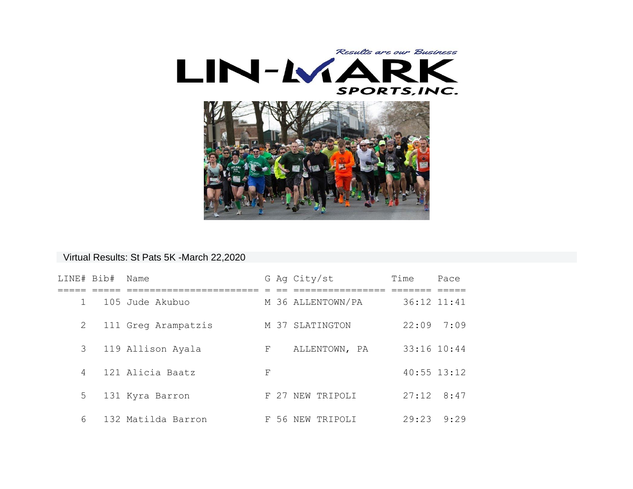

## Virtual Results: St Pats 5K -March 22,2020

| LINE# Bib#   | Name                |    | G Ag City/st      | Time            | Pace |
|--------------|---------------------|----|-------------------|-----------------|------|
| $\mathbf{1}$ | 105 Jude Akubuo     |    | M 36 ALLENTOWN/PA | 36:12 11:41     |      |
| 2            | 111 Greg Arampatzis |    | M 37 SLATINGTON   | 22:09           | 7:09 |
| $3 -$        | 119 Allison Ayala   | F  | ALLENTOWN, PA     | 33:16 10:44     |      |
| 4            | 121 Alicia Baatz    | F  |                   | $40:55$ $13:12$ |      |
| 5            | 131 Kyra Barron     |    | F 27 NEW TRIPOLI  | 27:12           | 8:47 |
| 6            | 132 Matilda Barron  | F. | 56 NEW TRIPOLI    | 29:23           | 9:29 |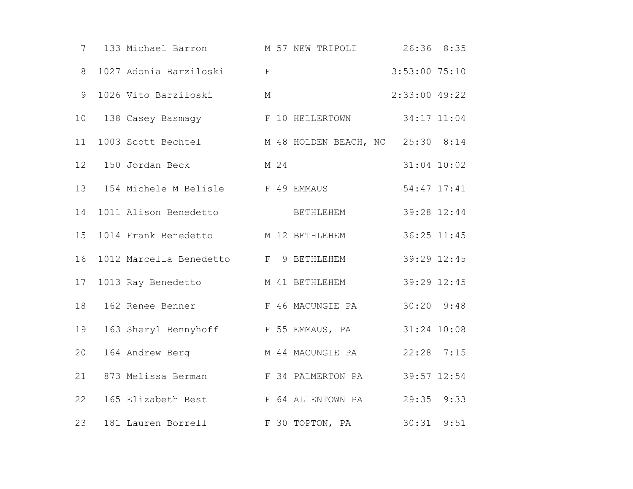| $7\degree$      | 133 Michael Barron M 57 NEW TRIPOLI                 |   |      |                  | 26:36 8:35     |      |
|-----------------|-----------------------------------------------------|---|------|------------------|----------------|------|
| 8               | 1027 Adonia Barziloski kral                         |   |      |                  | 3:53:00 75:10  |      |
| 9               | 1026 Vito Barziloski                                | М |      |                  | 2:33:00 49:22  |      |
| 10              | 138 Casey Basmagy The Table F 10 HELLERTOWN         |   |      |                  | 34:17 11:04    |      |
| 11              | 1003 Scott Bechtel M 48 HOLDEN BEACH, NC 25:30 8:14 |   |      |                  |                |      |
| 12 <sup>°</sup> | 150 Jordan Beck                                     |   | M 24 |                  | 31:04 10:02    |      |
| 13              | 154 Michele M Belisle F 49 EMMAUS                   |   |      |                  | 54:47 17:41    |      |
| 14              | 1011 Alison Benedetto                               |   |      | BETHLEHEM        | 39:28 12:44    |      |
| 15              | 1014 Frank Benedetto M 12 BETHLEHEM                 |   |      |                  | 36:25 11:45    |      |
| 16              | 1012 Marcella Benedetto F 9 BETHLEHEM               |   |      |                  | 39:29 12:45    |      |
| 17              | 1013 Ray Benedetto M 41 BETHLEHEM                   |   |      |                  | 39:29 12:45    |      |
| 18              | 162 Renee Benner F 46 MACUNGIE PA                   |   |      |                  | $30:20$ $9:48$ |      |
| 19              | 163 Sheryl Bennyhoff F 55 EMMAUS, PA                |   |      |                  | 31:24 10:08    |      |
| 20              | 164 Andrew Berg                                     |   |      | M 44 MACUNGIE PA | $22:28$ 7:15   |      |
| 21              | 873 Melissa Berman F 34 PALMERTON PA                |   |      |                  | 39:57 12:54    |      |
| 22              | 165 Elizabeth Best F 64 ALLENTOWN PA                |   |      |                  | 29:35 9:33     |      |
| 23              | 181 Lauren Borrell                                  |   |      | F 30 TOPTON, PA  | 30:31          | 9:51 |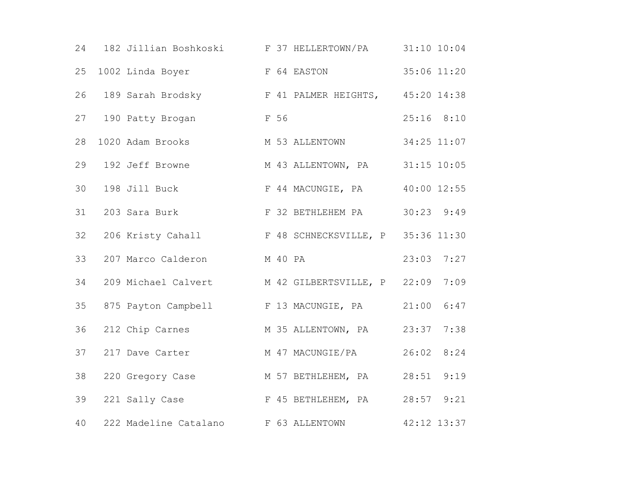|    |                            | 24 182 Jillian Boshkoski B 37 HELLERTOWN/PA 31:10 10:04 |              |
|----|----------------------------|---------------------------------------------------------|--------------|
| 25 |                            | 1002 Linda Boyer F 64 EASTON                            | 35:06 11:20  |
|    |                            | 26 189 Sarah Brodsky F 41 PALMER HEIGHTS, 45:20 14:38   |              |
|    | 27 190 Patty Brogan        | F 56                                                    | $25:16$ 8:10 |
| 28 | 1020 Adam Brooks           | M 53 ALLENTOWN 34:25 11:07                              |              |
| 29 | 192 Jeff Browne            | M 43 ALLENTOWN, PA 31:15 10:05                          |              |
| 30 |                            | 198 Jill Buck F 44 MACUNGIE, PA                         | 40:00 12:55  |
| 31 | 203 Sara Burk              | F 32 BETHLEHEM PA 30:23 9:49                            |              |
| 32 |                            | 206 Kristy Cahall F 48 SCHNECKSVILLE, P 35:36 11:30     |              |
| 33 | 207 Marco Calderon M 40 PA |                                                         | $23:03$ 7:27 |
| 34 |                            | 209 Michael Calvert M 42 GILBERTSVILLE, P 22:09         | 7:09         |
|    |                            | 35 875 Payton Campbell F 13 MACUNGIE, PA 21:00 6:47     |              |
| 36 |                            | 212 Chip Carnes M 35 ALLENTOWN, PA 23:37                | 7:38         |
| 37 | 217 Dave Carter            | M 47 MACUNGIE/PA                                        | 26:02 8:24   |
| 38 |                            | 220 Gregory Case M 57 BETHLEHEM, PA 28:51               | 9:19         |
| 39 |                            | 221 Sally Case F 45 BETHLEHEM, PA 28:57 9:21            |              |
| 40 |                            | 222 Madeline Catalano F 63 ALLENTOWN 42:12 13:37        |              |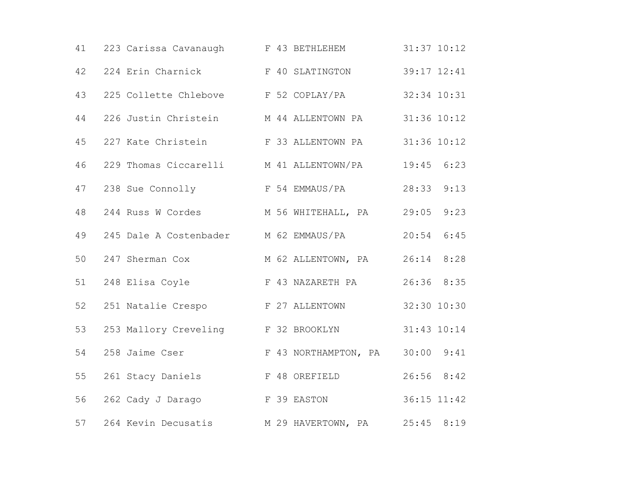| 41 | 223 Carissa Cavanaugh F 43 BETHLEHEM               |  |                    |                | $31:37$ $10:12$ |
|----|----------------------------------------------------|--|--------------------|----------------|-----------------|
| 42 | 224 Erin Charnick F 40 SLATINGTON                  |  |                    | 39:17 12:41    |                 |
| 43 | 225 Collette Chlebove F 52 COPLAY/PA               |  |                    | 32:34 10:31    |                 |
| 44 | 226 Justin Christein M 44 ALLENTOWN PA 31:36 10:12 |  |                    |                |                 |
| 45 | 227 Kate Christein F 33 ALLENTOWN PA               |  |                    | 31:36 10:12    |                 |
| 46 | 229 Thomas Ciccarelli M 41 ALLENTOWN/PA            |  |                    | $19:45$ $6:23$ |                 |
| 47 | 238 Sue Connolly F 54 EMMAUS/PA                    |  |                    | 28:33          | 9:13            |
| 48 | 244 Russ W Cordes M 56 WHITEHALL, PA 29:05         |  |                    |                | 9:23            |
| 49 | 245 Dale A Costenbader M 62 EMMAUS/PA              |  |                    | $20:54$ 6:45   |                 |
| 50 | 247 Sherman Cox M 62 ALLENTOWN, PA 26:14 8:28      |  |                    |                |                 |
| 51 | 248 Elisa Coyle                                    |  | F 43 NAZARETH PA   | 26:36 8:35     |                 |
| 52 | 251 Natalie Crespo F 27 ALLENTOWN                  |  |                    | 32:30 10:30    |                 |
| 53 | 253 Mallory Creveling F 32 BROOKLYN                |  |                    | 31:43 10:14    |                 |
| 54 | 258 Jaime Cser F 43 NORTHAMPTON, PA                |  |                    | $30:00$ $9:41$ |                 |
| 55 | 261 Stacy Daniels F 48 OREFIELD                    |  |                    | $26:56$ $8:42$ |                 |
| 56 | 262 Cady J Darago F 39 EASTON                      |  |                    | 36:15 11:42    |                 |
| 57 | 264 Kevin Decusatis                                |  | M 29 HAVERTOWN, PA | $25:45$ 8:19   |                 |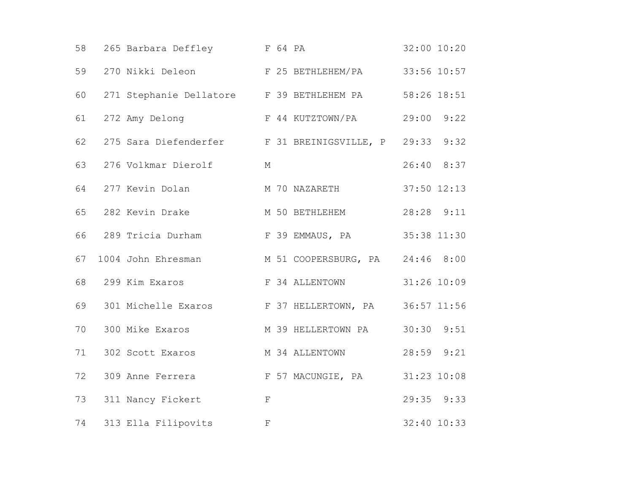| 58 | 265 Barbara Deffley F 64 PA                            |                             | 32:00 10:20    |
|----|--------------------------------------------------------|-----------------------------|----------------|
| 59 | 270 Nikki Deleon (E 25 BETHLEHEM/PA                    |                             | 33:56 10:57    |
| 60 | 271 Stephanie Dellatore F 39 BETHLEHEM PA              |                             | 58:26 18:51    |
| 61 | 272 Amy Delong F 44 KUTZTOWN/PA                        |                             | 29:00<br>9:22  |
| 62 | 275 Sara Diefenderfer F 31 BREINIGSVILLE, P 29:33 9:32 |                             |                |
| 63 | 276 Volkmar Dierolf                                    | М                           | 26:40 8:37     |
| 64 | 277 Kevin Dolan                                        | M 70 NAZARETH               | 37:50 12:13    |
| 65 | 282 Kevin Drake                                        | M 50 BETHLEHEM              | 28:28 9:11     |
| 66 | 289 Tricia Durham                                      | F 39 EMMAUS, PA 35:38 11:30 |                |
| 67 | 1004 John Ehresman M 51 COOPERSBURG, PA 24:46 8:00     |                             |                |
| 68 | 299 Kim Exaros The S4 ALLENTOWN                        |                             | 31:26 10:09    |
| 69 | 301 Michelle Exaros F 37 HELLERTOWN, PA 36:57 11:56    |                             |                |
| 70 | 300 Mike Exaros                                        | M 39 HELLERTOWN PA          | $30:30$ $9:51$ |
| 71 | 302 Scott Exaros                                       | M 34 ALLENTOWN              | 28:59 9:21     |
| 72 | 309 Anne Ferrera F 57 MACUNGIE, PA                     |                             | 31:23 10:08    |
| 73 | 311 Nancy Fickert                                      | $\mathbf F$                 | $29:35$ $9:33$ |
| 74 | 313 Ella Filipovits                                    | $\mathbf F$                 | 32:40 10:33    |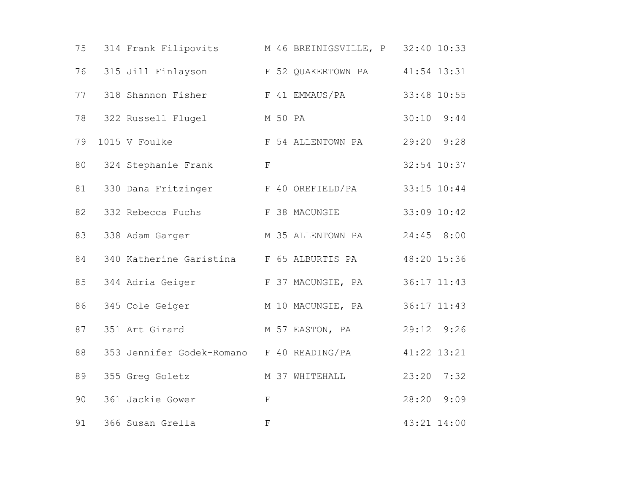| 75 | 314 Frank Filipovits M 46 BREINIGSVILLE, P 32:40 10:33 |                   |                 |
|----|--------------------------------------------------------|-------------------|-----------------|
| 76 | 315 Jill Finlayson F 52 QUAKERTOWN PA                  |                   | $41:54$ $13:31$ |
| 77 | 318 Shannon Fisher F 41 EMMAUS/PA                      |                   | 33:48 10:55     |
| 78 | 322 Russell Flugel M 50 PA                             |                   | $30:10$ $9:44$  |
| 79 | 1015 V Foulke                                          | F 54 ALLENTOWN PA | 29:20 9:28      |
| 80 | 324 Stephanie Frank                                    | $\mathbf F$       | 32:54 10:37     |
| 81 | 330 Dana Fritzinger                                    | F 40 OREFIELD/PA  | 33:15 10:44     |
| 82 | 332 Rebecca Fuchs F 38 MACUNGIE                        |                   | 33:09 10:42     |
| 83 | 338 Adam Garger M 35 ALLENTOWN PA                      |                   | 24:45 8:00      |
| 84 | 340 Katherine Garistina F 65 ALBURTIS PA               |                   | 48:20 15:36     |
| 85 | 344 Adria Geiger F 37 MACUNGIE, PA                     |                   | 36:17 11:43     |
| 86 | 345 Cole Geiger M 10 MACUNGIE, PA                      |                   | 36:17 11:43     |
| 87 | 351 Art Girard                                         | M 57 EASTON, PA   | 29:12 9:26      |
| 88 | 353 Jennifer Godek-Romano F 40 READING/PA              |                   | 41:22 13:21     |
| 89 | 355 Greg Goletz                                        | M 37 WHITEHALL    | 7:32<br>23:20   |
| 90 | 361 Jackie Gower                                       | $\mathbf F$       | 28:20 9:09      |
| 91 | 366 Susan Grella                                       | $\mathbf F$       | 43:21 14:00     |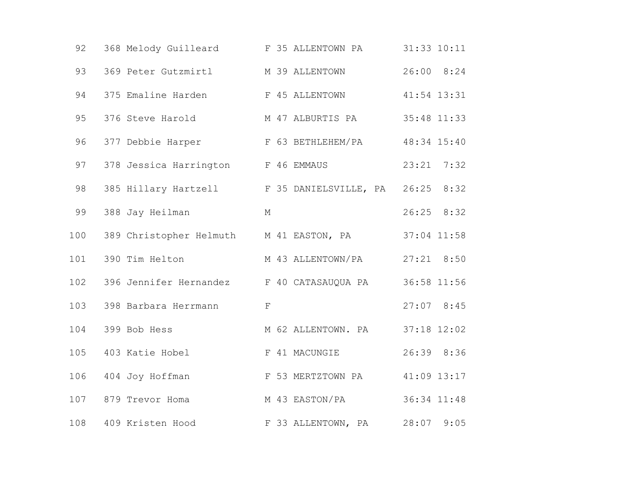| 92  | 368 Melody Guilleard F 35 ALLENTOWN PA           |                    | 31:33 10:11   |
|-----|--------------------------------------------------|--------------------|---------------|
| 93  | 369 Peter Gutzmirtl M 39 ALLENTOWN               |                    | 26:00 8:24    |
| 94  | 375 Emaline Harden                               | F 45 ALLENTOWN     | 41:54 13:31   |
| 95  | 376 Steve Harold M 47 ALBURTIS PA                |                    | 35:48 11:33   |
| 96  | 377 Debbie Harper                                | F 63 BETHLEHEM/PA  | 48:34 15:40   |
| 97  | 378 Jessica Harrington F 46 EMMAUS               |                    | 23:21<br>7:32 |
| 98  | 385 Hillary Hartzell F 35 DANIELSVILLE, PA 26:25 |                    | 8:32          |
| 99  | 388 Jay Heilman                                  | $M_{\odot}$        | $26:25$ 8:32  |
| 100 | 389 Christopher Helmuth M 41 EASTON, PA          |                    | 37:04 11:58   |
| 101 | 390 Tim Helton                                   | M 43 ALLENTOWN/PA  | $27:21$ 8:50  |
| 102 | 396 Jennifer Hernandez F 40 CATASAUQUA PA        |                    | 36:58 11:56   |
| 103 | 398 Barbara Herrmann                             | $\mathbf F$        | $27:07$ 8:45  |
| 104 | 399 Bob Hess                                     | M 62 ALLENTOWN. PA | 37:18 12:02   |
| 105 | 403 Katie Hobel                                  | F 41 MACUNGIE      | 26:39 8:36    |
| 106 | 404 Joy Hoffman                                  | F 53 MERTZTOWN PA  | 41:09 13:17   |
| 107 | 879 Trevor Homa                                  | M 43 EASTON/PA     | 36:34 11:48   |
| 108 | 409 Kristen Hood                                 | F 33 ALLENTOWN, PA | 28:07<br>9:05 |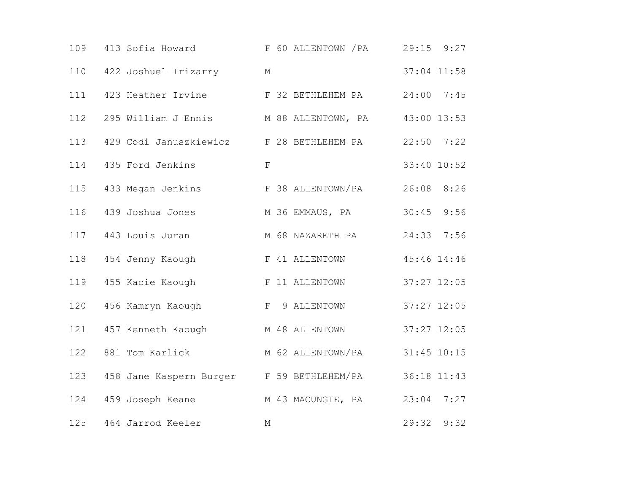| 109 | 413 Sofia Howard F 60 ALLENTOWN / PA 29:15 9:27    |                   |               |
|-----|----------------------------------------------------|-------------------|---------------|
| 110 | 422 Joshuel Irizarry                               | $M_{\odot}$       | 37:04 11:58   |
| 111 | 423 Heather Irvine                                 | F 32 BETHLEHEM PA | $24:00$ 7:45  |
| 112 | 295 William J Ennis M 88 ALLENTOWN, PA 43:00 13:53 |                   |               |
| 113 | 429 Codi Januszkiewicz F 28 BETHLEHEM PA           |                   | $22:50$ 7:22  |
| 114 | 435 Ford Jenkins                                   | $\mathbf F$       | 33:40 10:52   |
| 115 | 433 Megan Jenkins                                  | F 38 ALLENTOWN/PA | 8:26<br>26:08 |
| 116 | 439 Joshua Jones                                   | M 36 EMMAUS, PA   | 9:56<br>30:45 |
|     | 117 443 Louis Juran                                | M 68 NAZARETH PA  | 24:33 7:56    |
| 118 | 454 Jenny Kaough                                   | F 41 ALLENTOWN    | 45:46 14:46   |
| 119 | 455 Kacie Kaough                                   | F 11 ALLENTOWN    | 37:27 12:05   |
| 120 | 456 Kamryn Kaough                                  | F 9 ALLENTOWN     | 37:27 12:05   |
| 121 | 457 Kenneth Kaough                                 | M 48 ALLENTOWN    | 37:27 12:05   |
| 122 | 881 Tom Karlick                                    | M 62 ALLENTOWN/PA | 31:45 10:15   |
| 123 | 458 Jane Kaspern Burger F 59 BETHLEHEM/PA          |                   | 36:18 11:43   |
| 124 | 459 Joseph Keane                                   | M 43 MACUNGIE, PA | $23:04$ 7:27  |
| 125 | 464 Jarrod Keeler                                  | М                 | 9:32<br>29:32 |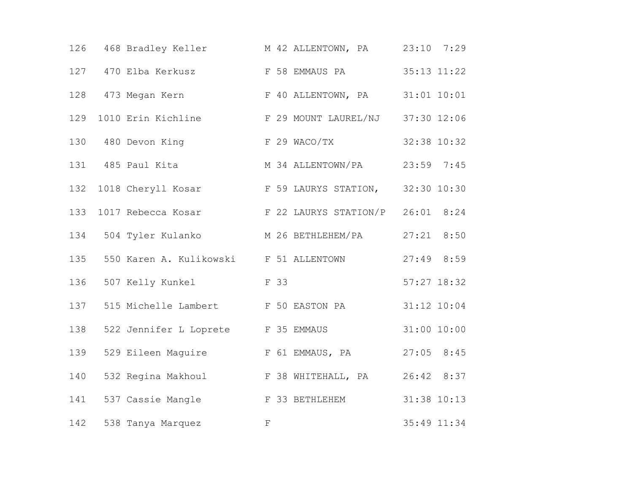|     | 126 468 Bradley Keller                              | M 42 ALLENTOWN, PA 23:10 7:29         |                 |
|-----|-----------------------------------------------------|---------------------------------------|-----------------|
| 127 | 470 Elba Kerkusz (E 58 EMMAUS PA                    |                                       | 35:13 11:22     |
|     | 128 473 Megan Kern F 40 ALLENTOWN, PA               |                                       | $31:01$ $10:01$ |
| 129 | 1010 Erin Kichline F 29 MOUNT LAUREL/NJ 37:30 12:06 |                                       |                 |
|     | 130 480 Devon King                                  | F 29 WACO/TX                          | 32:38 10:32     |
|     | 131 485 Paul Kita                                   | M 34 ALLENTOWN/PA                     | 23:59 7:45      |
| 132 | 1018 Cheryll Kosar                                  | F 59 LAURYS STATION, 32:30 10:30      |                 |
| 133 | 1017 Rebecca Kosar F 22 LAURYS STATION/P 26:01 8:24 |                                       |                 |
|     | 134 504 Tyler Kulanko M 26 BETHLEHEM/PA 27:21 8:50  |                                       |                 |
| 135 | 550 Karen A. Kulikowski B 51 ALLENTOWN              |                                       | $27:49$ 8:59    |
| 136 | 507 Kelly Kunkel F 33                               |                                       | $57:27$ 18:32   |
| 137 | 515 Michelle Lambert F 50 EASTON PA                 |                                       | $31:12$ $10:04$ |
| 138 | 522 Jennifer L Loprete F 35 EMMAUS                  |                                       | 31:00 10:00     |
| 139 |                                                     | 529 Eileen Maguire F 61 EMMAUS, PA    | $27:05$ 8:45    |
| 140 |                                                     | 532 Regina Makhoul F 38 WHITEHALL, PA | 26:42 8:37      |
| 141 | 537 Cassie Mangle F 33 BETHLEHEM                    |                                       | 31:38 10:13     |
| 142 | 538 Tanya Marquez                                   | $\mathbf{F}$                          | 35:49 11:34     |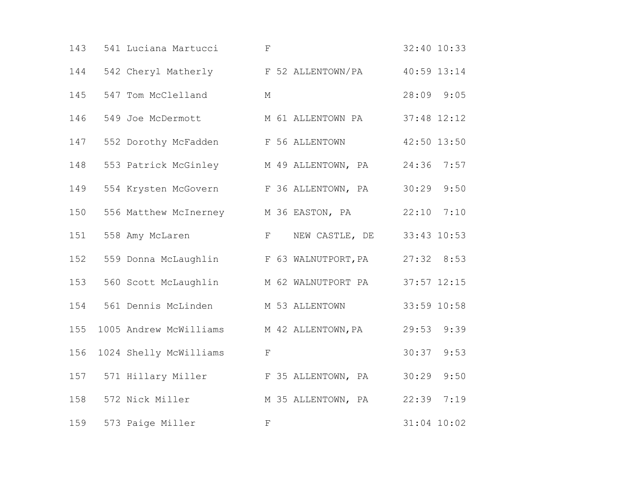| 143 | 541 Luciana Martucci                      | $\mathbf F$                             | 32:40 10:33    |
|-----|-------------------------------------------|-----------------------------------------|----------------|
| 144 | 542 Cheryl Matherly F 52 ALLENTOWN/PA     |                                         | 40:59 13:14    |
| 145 | 547 Tom McClelland                        | $M_{\odot}$                             | 28:09 9:05     |
| 146 |                                           | 549 Joe McDermott M 61 ALLENTOWN PA     | 37:48 12:12    |
| 147 | 552 Dorothy McFadden F 56 ALLENTOWN       |                                         | 42:50 13:50    |
| 148 | 553 Patrick McGinley M 49 ALLENTOWN, PA   |                                         | 24:36 7:57     |
| 149 | 554 Krysten McGovern                      | F 36 ALLENTOWN, PA                      | 30:29<br>9:50  |
| 150 |                                           | 556 Matthew McInerney M 36 EASTON, PA   | $22:10$ $7:10$ |
| 151 | 558 Amy McLaren                           | F NEW CASTLE, DE 33:43 10:53            |                |
| 152 | 559 Donna McLaughlin F 63 WALNUTPORT, PA  |                                         | 27:32 8:53     |
| 153 |                                           | 560 Scott McLaughlin M 62 WALNUTPORT PA | 37:57 12:15    |
| 154 | 561 Dennis McLinden M 53 ALLENTOWN        |                                         | 33:59 10:58    |
| 155 | 1005 Andrew McWilliams M 42 ALLENTOWN, PA |                                         | 29:53 9:39     |
| 156 | 1024 Shelly McWilliams                    | F                                       | 30:37<br>9:53  |
| 157 | 571 Hillary Miller F 35 ALLENTOWN, PA     |                                         | 30:29<br>9:50  |
| 158 | 572 Nick Miller                           | M 35 ALLENTOWN, PA                      | 22:39 7:19     |
| 159 | 573 Paige Miller                          | $\mathbf F$                             | $31:04$ 10:02  |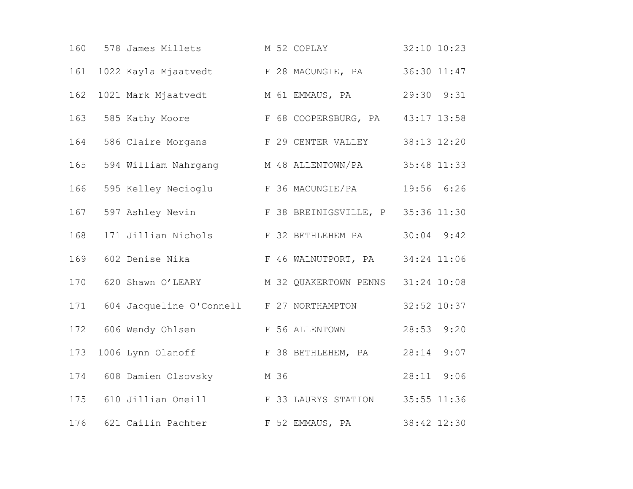| 160 | 578 James Millets                                    | M 52 COPLAY                     | $32:10$ $10:23$ |
|-----|------------------------------------------------------|---------------------------------|-----------------|
| 161 | 1022 Kayla Mjaatvedt                                 | F 28 MACUNGIE, PA               | 36:30 11:47     |
| 162 | 1021 Mark Mjaatvedt M 61 EMMAUS, PA                  |                                 | 29:30 9:31      |
|     | 163 585 Kathy Moore F 68 COOPERSBURG, PA 43:17 13:58 |                                 |                 |
| 164 | 586 Claire Morgans F 29 CENTER VALLEY 38:13 12:20    |                                 |                 |
| 165 | 594 William Nahrgang M 48 ALLENTOWN/PA               |                                 | 35:48 11:33     |
| 166 | 595 Kelley Necioglu B 36 MACUNGIE/PA                 |                                 | 19:56 6:26      |
| 167 | 597 Ashley Nevin F 38 BREINIGSVILLE, P 35:36 11:30   |                                 |                 |
| 168 | 171 Jillian Nichols                                  | F 32 BETHLEHEM PA               | $30:04$ $9:42$  |
| 169 | 602 Denise Nika                                      | F 46 WALNUTPORT, PA 34:24 11:06 |                 |
| 170 | 620 Shawn O'LEARY M 32 QUAKERTOWN PENNS 31:24 10:08  |                                 |                 |
| 171 | 604 Jacqueline O'Connell F 27 NORTHAMPTON            |                                 | 32:52 10:37     |
|     | 172 606 Wendy Ohlsen                                 | F 56 ALLENTOWN                  | 28:53 9:20      |
| 173 | 1006 Lynn Olanoff F 38 BETHLEHEM, PA                 |                                 | 9:07<br>28:14   |
| 174 | 608 Damien Olsovsky                                  | M 36                            | 9:06<br>28:11   |
| 175 | 610 Jillian Oneill F 33 LAURYS STATION               |                                 | 35:55 11:36     |
| 176 | 621 Cailin Pachter                                   | F 52 EMMAUS, PA                 | 38:42 12:30     |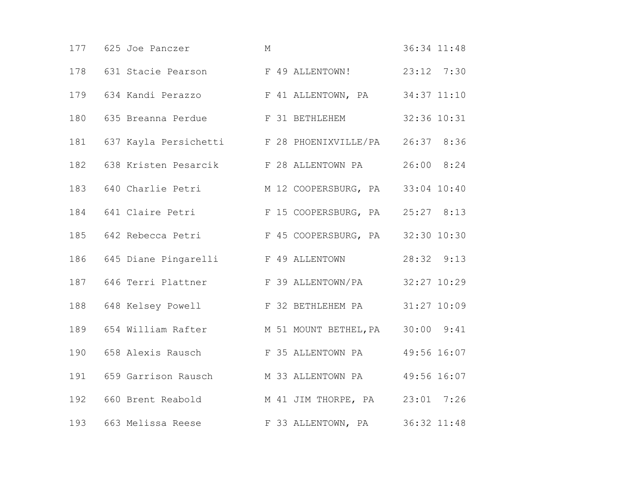|     | 177 625 Joe Panczer                                       | М                                                  | 36:34 11:48    |
|-----|-----------------------------------------------------------|----------------------------------------------------|----------------|
|     | 178 631 Stacie Pearson F 49 ALLENTOWN!                    |                                                    | $23:12$ $7:30$ |
| 179 |                                                           | 634 Kandi Perazzo F 41 ALLENTOWN, PA 34:37 11:10   |                |
| 180 |                                                           | 635 Breanna Perdue F 31 BETHLEHEM                  | 32:36 10:31    |
|     | 181 637 Kayla Persichetti F 28 PHOENIXVILLE/PA 26:37 8:36 |                                                    |                |
| 182 |                                                           | 638 Kristen Pesarcik F 28 ALLENTOWN PA             | 26:00 8:24     |
| 183 |                                                           | 640 Charlie Petri M 12 COOPERSBURG, PA 33:04 10:40 |                |
|     | 184 641 Claire Petri F 15 COOPERSBURG, PA 25:27 8:13      |                                                    |                |
|     | 185 642 Rebecca Petri F 45 COOPERSBURG, PA 32:30 10:30    |                                                    |                |
| 186 | 645 Diane Pingarelli Kana F 49 ALLENTOWN                  |                                                    | 28:32 9:13     |
| 187 |                                                           | 646 Terri Plattner F 39 ALLENTOWN/PA               | 32:27 10:29    |
| 188 | 648 Kelsey Powell F 32 BETHLEHEM PA 31:27 10:09           |                                                    |                |
| 189 | 654 William Rafter M 51 MOUNT BETHEL, PA 30:00 9:41       |                                                    |                |
| 190 |                                                           | 658 Alexis Rausch (F 35 ALLENTOWN PA               | 49:56 16:07    |
| 191 | 659 Garrison Rausch M 33 ALLENTOWN PA                     |                                                    | 49:56 16:07    |
| 192 |                                                           | 660 Brent Reabold M 41 JIM THORPE, PA 23:01 7:26   |                |
| 193 |                                                           | 663 Melissa Reese F 33 ALLENTOWN, PA               | 36:32 11:48    |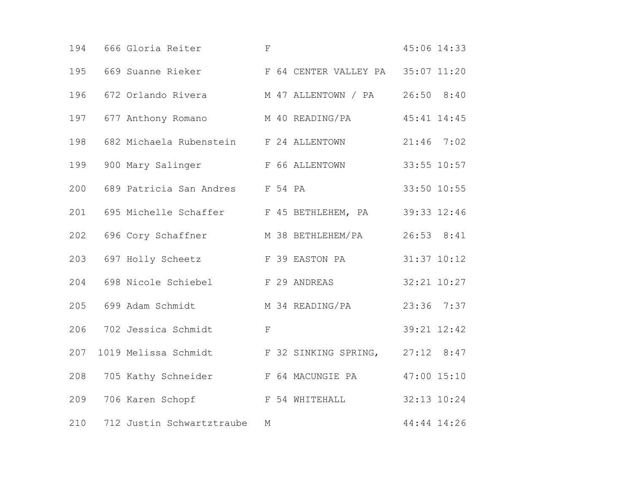| 194 | 666 Gloria Reiter                                   | $\mathbf F$      | 45:06 14:33     |
|-----|-----------------------------------------------------|------------------|-----------------|
| 195 | 669 Suanne Rieker F 64 CENTER VALLEY PA 35:07 11:20 |                  |                 |
| 196 | 672 Orlando Rivera M 47 ALLENTOWN / PA              |                  | $26:50$ 8:40    |
| 197 | 677 Anthony Romano M 40 READING/PA                  |                  | $45:41$ $14:45$ |
| 198 | 682 Michaela Rubenstein F 24 ALLENTOWN              |                  | $21:46$ 7:02    |
| 199 | 900 Mary Salinger F 66 ALLENTOWN                    |                  | 33:55 10:57     |
| 200 | 689 Patricia San Andres F 54 PA                     |                  | 33:50 10:55     |
| 201 | 695 Michelle Schaffer F 45 BETHLEHEM, PA            |                  | 39:33 12:46     |
| 202 | 696 Cory Schaffner M 38 BETHLEHEM/PA                |                  | $26:53$ $8:41$  |
| 203 | 697 Holly Scheetz GS F 39 EASTON PA                 |                  | $31:37$ $10:12$ |
| 204 | 698 Nicole Schiebel F 29 ANDREAS                    |                  | 32:21 10:27     |
| 205 | 699 Adam Schmidt M 34 READING/PA                    |                  | 23:36 7:37      |
| 206 | 702 Jessica Schmidt                                 | $\mathbf F$      | 39:21 12:42     |
| 207 | 1019 Melissa Schmidt F 32 SINKING SPRING,           |                  | $27:12$ 8:47    |
| 208 | 705 Kathy Schneider                                 | F 64 MACUNGIE PA | 47:00 15:10     |
| 209 | 706 Karen Schopf Gore F 54 WHITEHALL                |                  | 32:13 10:24     |
| 210 | 712 Justin Schwartztraube                           | М                | 44:44 14:26     |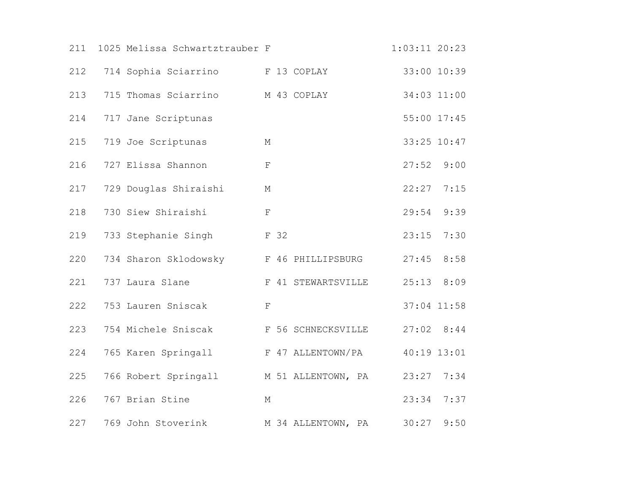| 211 | 1025 Melissa Schwartztrauber F          |             |                    | $1:03:11$ 20:23 |             |
|-----|-----------------------------------------|-------------|--------------------|-----------------|-------------|
| 212 | 714 Sophia Sciarrino F 13 COPLAY        |             |                    |                 | 33:00 10:39 |
| 213 | 715 Thomas Sciarrino                    |             | M 43 COPLAY        | 34:03 11:00     |             |
| 214 | 717 Jane Scriptunas                     |             |                    |                 | 55:00 17:45 |
| 215 | 719 Joe Scriptunas                      | М           |                    | 33:25 10:47     |             |
| 216 | 727 Elissa Shannon                      | $\mathbf F$ |                    | 27:52           | 9:00        |
| 217 | 729 Douglas Shiraishi                   | $\mathbb M$ |                    | 22:27           | 7:15        |
| 218 | 730 Siew Shiraishi                      | $\mathbf F$ |                    | 29:54           | 9:39        |
| 219 | F <sub>32</sub><br>733 Stephanie Singh  |             |                    | 23:15           | 7:30        |
| 220 | 734 Sharon Sklodowsky F 46 PHILLIPSBURG |             |                    | 27:45           | 8:58        |
| 221 | 737 Laura Slane                         |             | F 41 STEWARTSVILLE | 25:13           | 8:09        |
| 222 | 753 Lauren Sniscak                      | F           |                    | 37:04 11:58     |             |
| 223 | 754 Michele Sniscak                     |             | F 56 SCHNECKSVILLE | $27:02$ 8:44    |             |
| 224 | 765 Karen Springall                     |             | F 47 ALLENTOWN/PA  | 40:19 13:01     |             |
| 225 | 766 Robert Springall M 51 ALLENTOWN, PA |             |                    | 23:27           | 7:34        |
| 226 | 767 Brian Stine                         | М           |                    | 23:34           | 7:37        |
| 227 | 769 John Stoverink                      |             | M 34 ALLENTOWN, PA | 30:27           | 9:50        |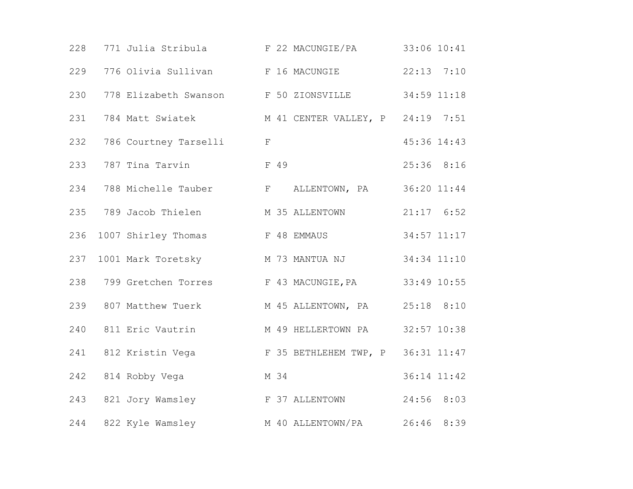|     | 228 771 Julia Stribula F 22 MACUNGIE/PA 33:06 10:41    |                                                   |                |
|-----|--------------------------------------------------------|---------------------------------------------------|----------------|
| 229 |                                                        | 776 Olivia Sullivan F 16 MACUNGIE                 | $22:13$ $7:10$ |
| 230 |                                                        | 778 Elizabeth Swanson F 50 ZIONSVILLE             | 34:59 11:18    |
| 231 |                                                        | 784 Matt Swiatek M 41 CENTER VALLEY, P 24:19 7:51 |                |
| 232 | 786 Courtney Tarselli                                  | $\mathbf{F}$                                      | 45:36 14:43    |
| 233 | 787 Tina Tarvin                                        | F 49                                              | 25:36 8:16     |
| 234 |                                                        | 788 Michelle Tauber F ALLENTOWN, PA 36:20 11:44   |                |
|     | 235 789 Jacob Thielen M 35 ALLENTOWN                   |                                                   | $21:17$ 6:52   |
| 236 | 1007 Shirley Thomas T 48 EMMAUS                        |                                                   | 34:57 11:17    |
| 237 | 1001 Mark Toretsky                                     | M 73 MANTUA NJ                                    | 34:34 11:10    |
|     | 238 799 Gretchen Torres F 43 MACUNGIE, PA              |                                                   | 33:49 10:55    |
|     | 239 807 Matthew Tuerk M 45 ALLENTOWN, PA 25:18 8:10    |                                                   |                |
| 240 | 811 Eric Vautrin                                       | M 49 HELLERTOWN PA 32:57 10:38                    |                |
|     | 241 812 Kristin Vega F 35 BETHLEHEM TWP, P 36:31 11:47 |                                                   |                |
| 242 | 814 Robby Vega                                         | M 34                                              | 36:14 11:42    |
|     | 243 821 Jory Wamsley 6 F 37 ALLENTOWN                  |                                                   | 24:56 8:03     |
| 244 | 822 Kyle Wamsley                                       | M 40 ALLENTOWN/PA 26:46 8:39                      |                |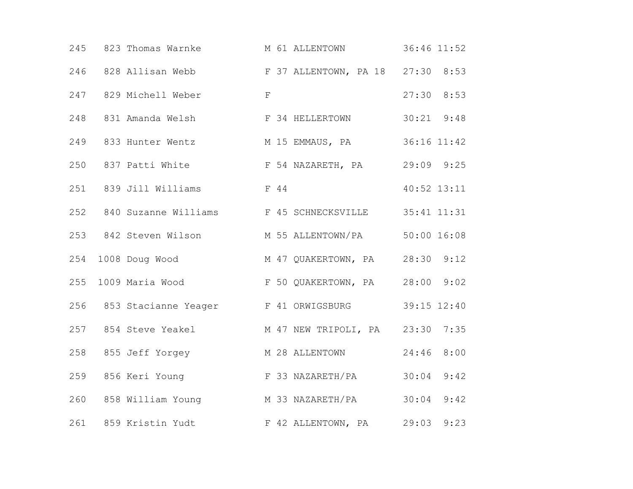|     | 245 823 Thomas Warnke      | M 61 ALLENTOWN                                          | 36:46 11:52    |
|-----|----------------------------|---------------------------------------------------------|----------------|
|     |                            | 246 828 Allisan Webb F 37 ALLENTOWN, PA 18 27:30 8:53   |                |
|     | 247 829 Michell Weber      | $\mathbb F$                                             | $27:30$ 8:53   |
|     |                            | 248 831 Amanda Welsh F 34 HELLERTOWN                    | $30:21$ $9:48$ |
|     |                            | 249 833 Hunter Wentz M 15 EMMAUS, PA 36:16 11:42        |                |
| 250 |                            | 837 Patti White $F$ 54 NAZARETH, PA 29:09 9:25          |                |
|     | 251 839 Jill Williams F 44 |                                                         | $40:52$ 13:11  |
|     |                            | 252 840 Suzanne Williams F 45 SCHNECKSVILLE 35:41 11:31 |                |
|     |                            | 253 842 Steven Wilson M 55 ALLENTOWN/PA 50:00 16:08     |                |
| 254 |                            | 1008 Doug Wood M 47 QUAKERTOWN, PA 28:30 9:12           |                |
| 255 |                            | 1009 Maria Wood F 50 QUAKERTOWN, PA 28:00 9:02          |                |
|     |                            | 256 853 Stacianne Yeager F 41 ORWIGSBURG 39:15 12:40    |                |
|     |                            | 257 854 Steve Yeakel M 47 NEW TRIPOLI, PA 23:30 7:35    |                |
|     | 258 855 Jeff Yorgey        | M 28 ALLENTOWN                                          | 8:00<br>24:46  |
| 259 |                            | 856 Keri Young (E 33 NAZARETH/PA                        | 30:04<br>9:42  |
|     |                            | 260 858 William Young M 33 NAZARETH/PA 30:04            | 9:42           |
|     |                            | 261 859 Kristin Yudt Karl F 42 ALLENTOWN, PA 29:03      | 9:23           |